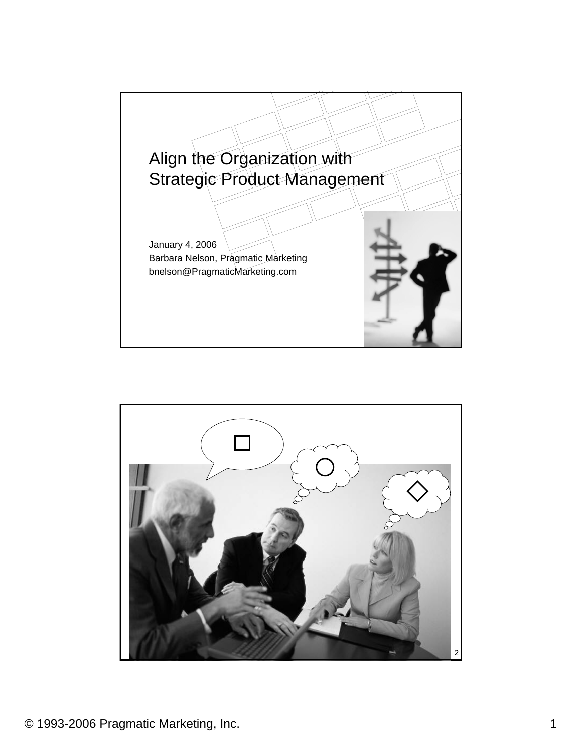

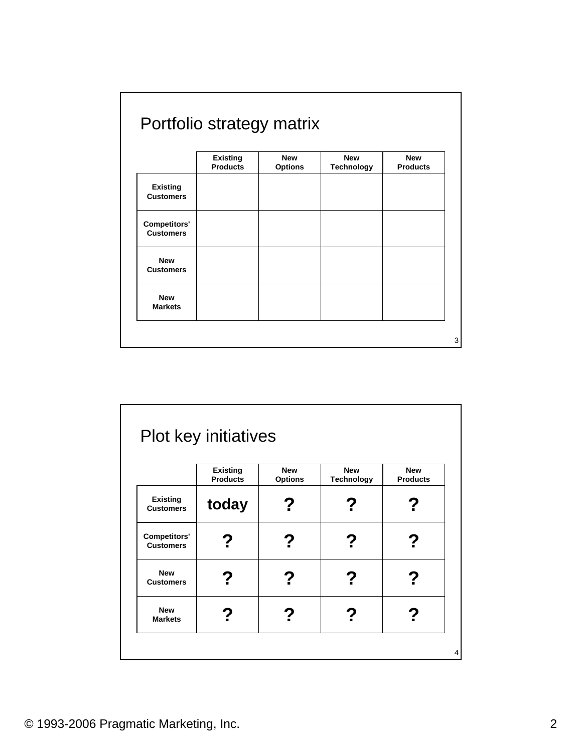|                     | <b>Existing</b> | <b>New</b>     | <b>New</b>        | <b>New</b>      |
|---------------------|-----------------|----------------|-------------------|-----------------|
|                     | <b>Products</b> | <b>Options</b> | <b>Technology</b> | <b>Products</b> |
| <b>Existing</b>     |                 |                |                   |                 |
| <b>Customers</b>    |                 |                |                   |                 |
| <b>Competitors'</b> |                 |                |                   |                 |
| <b>Customers</b>    |                 |                |                   |                 |
| <b>New</b>          |                 |                |                   |                 |
| <b>Customers</b>    |                 |                |                   |                 |
| <b>New</b>          |                 |                |                   |                 |
| <b>Markets</b>      |                 |                |                   |                 |

|                                         | <b>Existing</b><br><b>Products</b> | <b>New</b><br><b>Options</b> | <b>New</b><br><b>Technology</b> | <b>New</b><br><b>Products</b> |
|-----------------------------------------|------------------------------------|------------------------------|---------------------------------|-------------------------------|
| <b>Existing</b><br><b>Customers</b>     | today                              |                              |                                 |                               |
| <b>Competitors'</b><br><b>Customers</b> | ?                                  |                              | ?                               |                               |
| <b>New</b><br><b>Customers</b>          | Z                                  |                              |                                 |                               |
| <b>New</b><br><b>Markets</b>            |                                    |                              |                                 |                               |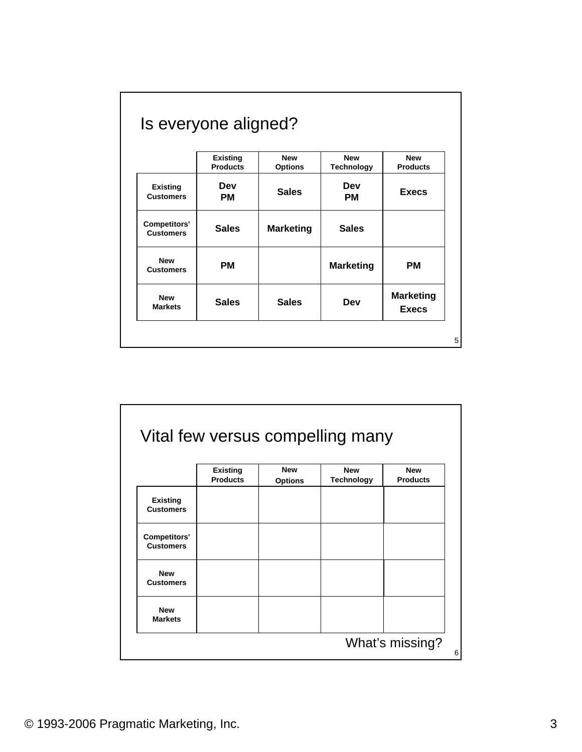|                                         | <b>Existing</b><br><b>Products</b> | <b>New</b><br><b>Options</b> | <b>New</b><br><b>Technology</b> | <b>New</b><br><b>Products</b>    |
|-----------------------------------------|------------------------------------|------------------------------|---------------------------------|----------------------------------|
| <b>Existing</b><br><b>Customers</b>     | Dev<br><b>PM</b>                   | <b>Sales</b>                 | Dev<br>PМ                       | <b>Execs</b>                     |
| <b>Competitors'</b><br><b>Customers</b> | <b>Sales</b>                       | <b>Marketing</b>             | <b>Sales</b>                    |                                  |
| <b>New</b><br><b>Customers</b>          | <b>PM</b>                          |                              | <b>Marketing</b>                | <b>PM</b>                        |
| <b>New</b><br><b>Markets</b>            | <b>Sales</b>                       | <b>Sales</b>                 | Dev                             | <b>Marketing</b><br><b>Execs</b> |

|                     | <b>Existing</b><br><b>Products</b> | <b>New</b><br><b>Options</b> | <b>New</b><br><b>Technology</b> | <b>New</b><br><b>Products</b> |
|---------------------|------------------------------------|------------------------------|---------------------------------|-------------------------------|
|                     |                                    |                              |                                 |                               |
| <b>Existing</b>     |                                    |                              |                                 |                               |
| <b>Customers</b>    |                                    |                              |                                 |                               |
| <b>Competitors'</b> |                                    |                              |                                 |                               |
| <b>Customers</b>    |                                    |                              |                                 |                               |
| <b>New</b>          |                                    |                              |                                 |                               |
| <b>Customers</b>    |                                    |                              |                                 |                               |
| <b>New</b>          |                                    |                              |                                 |                               |
| <b>Markets</b>      |                                    |                              |                                 |                               |

٦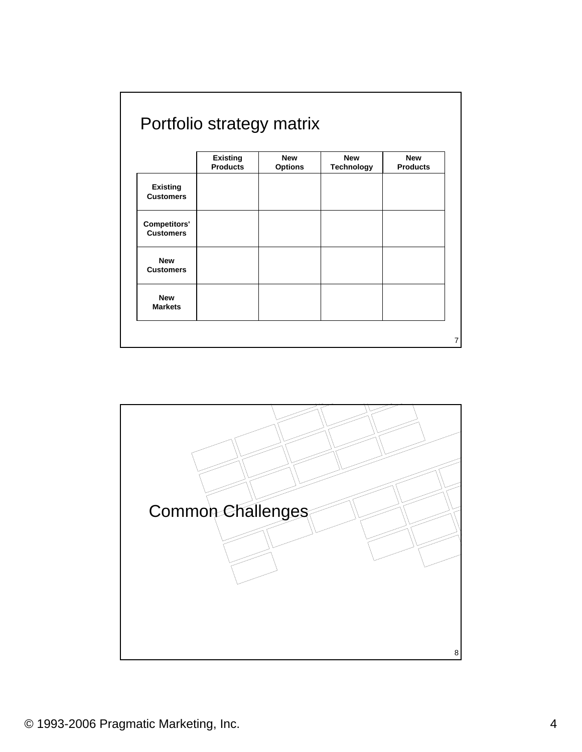|                     | <b>Existing</b> | <b>New</b>     | <b>New</b>        | <b>New</b>      |
|---------------------|-----------------|----------------|-------------------|-----------------|
|                     | <b>Products</b> | <b>Options</b> | <b>Technology</b> | <b>Products</b> |
| <b>Existing</b>     |                 |                |                   |                 |
| <b>Customers</b>    |                 |                |                   |                 |
| <b>Competitors'</b> |                 |                |                   |                 |
| <b>Customers</b>    |                 |                |                   |                 |
| <b>New</b>          |                 |                |                   |                 |
| <b>Customers</b>    |                 |                |                   |                 |
| <b>New</b>          |                 |                |                   |                 |
| <b>Markets</b>      |                 |                |                   |                 |

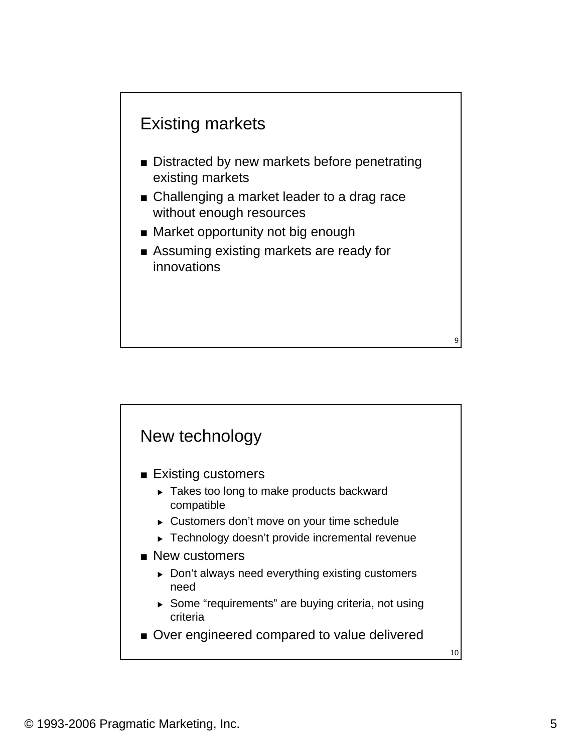

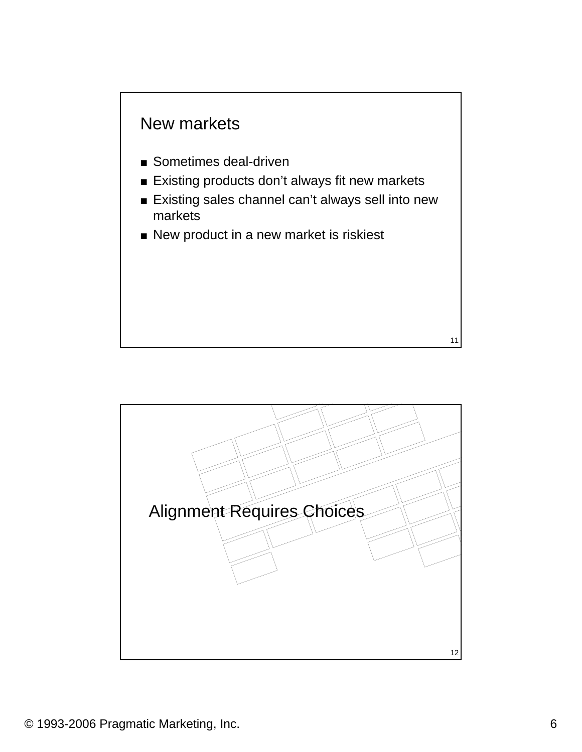

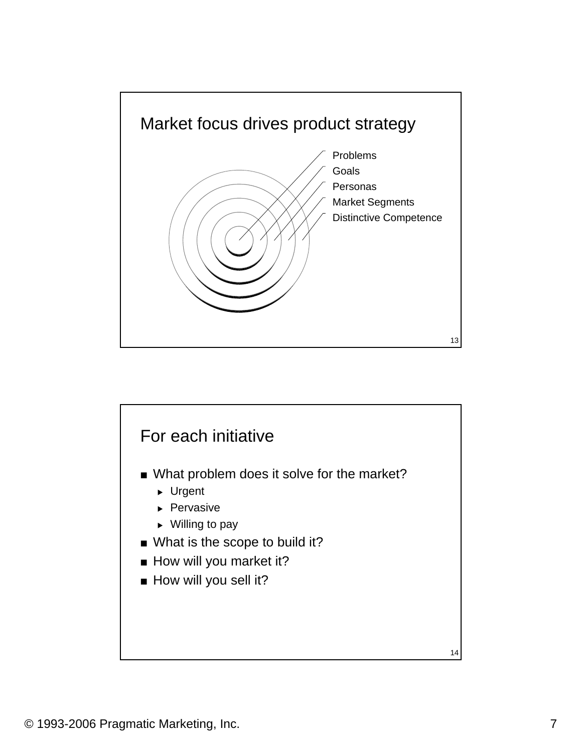

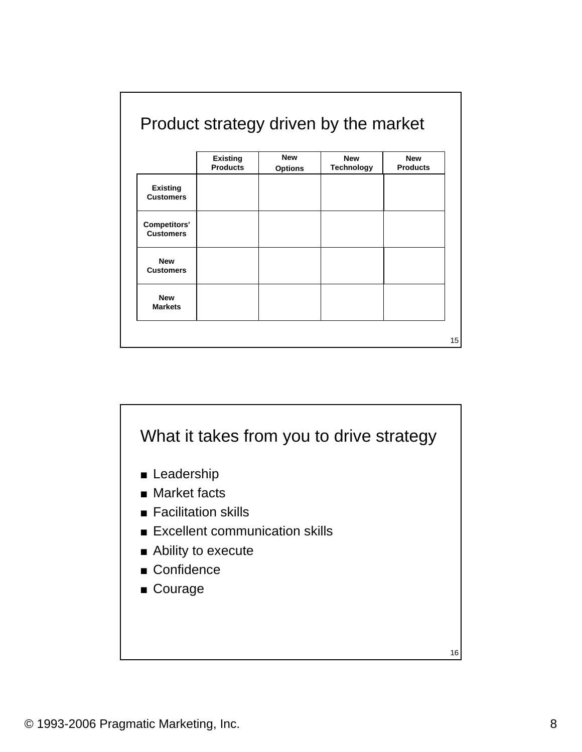|                     | <b>Existing</b> | <b>New</b>     | <b>New</b>        | <b>New</b>      |
|---------------------|-----------------|----------------|-------------------|-----------------|
|                     | <b>Products</b> | <b>Options</b> | <b>Technology</b> | <b>Products</b> |
| <b>Existing</b>     |                 |                |                   |                 |
| <b>Customers</b>    |                 |                |                   |                 |
| <b>Competitors'</b> |                 |                |                   |                 |
| <b>Customers</b>    |                 |                |                   |                 |
| <b>New</b>          |                 |                |                   |                 |
| <b>Customers</b>    |                 |                |                   |                 |
| <b>New</b>          |                 |                |                   |                 |
| <b>Markets</b>      |                 |                |                   |                 |



© 1993-2006 Pragmatic Marketing, Inc. 8